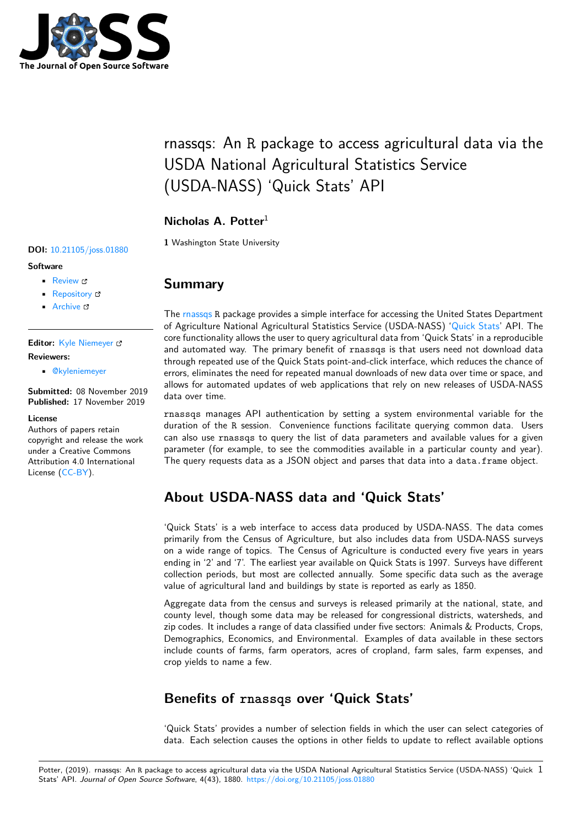

# rnassqs: An R package to access agricultural data via the USDA National Agricultural Statistics Service (USDA-NASS) 'Quick Stats' API

### **Nicholas A. Potter**<sup>1</sup>

**1** Washington State University

#### **DOI:** 10.21105/joss.01880

#### **Software**

- Review C
- [Repository](https://doi.org/10.21105/joss.01880) &
- Archive

**Editor:** [Kyle Niem](https://github.com/ropensci/rnassqs)eyer **Revie[wers:](https://doi.org/10.5281/zenodo.3532167)**

• @kyleniemeyer

**Submitted:** [08 Novem](http://kyleniemeyer.com)ber 2019 **Published:** 17 November 2019

#### **License**

Autho[rs of papers ret](https://github.com/kyleniemeyer)ain copyright and release the work under a Creative Commons Attribution 4.0 International License (CC-BY).

### **Summary**

The rnassqs R package provides a simple interface for accessing the United States Department of Agriculture National Agricultural Statistics Service (USDA-NASS) 'Quick Stats' API. The core functionality allows the user to query agricultural data from 'Quick Stats' in a reproducible and automated way. The primary benefit of rnassqs is that users need not download data thro[ugh repe](https://github.com/ropensci/rnassqs)ated use of the Quick Stats point-and-click interface, which reduces the chance of errors, eliminates the need for repeated manual downloads of new data [over time or](https://quickstats.nass.usda.gov/) space, and allows for automated updates of web applications that rely on new releases of USDA-NASS data over time.

rnassqs manages API authentication by setting a system environmental variable for the duration of the R session. Convenience functions facilitate querying common data. Users can also use rnassqs to query the list of data parameters and available values for a given parameter (for example, to see the commodities available in a particular county and year). The query requests data as a JSON object and parses that data into a data.frame object.

# **About USDA-NASS data and 'Quick Stats'**

'Quick Stats' is a web interface to access data produced by USDA-NASS. The data comes primarily from the Census of Agriculture, but also includes data from USDA-NASS surveys on a wide range of topics. The Census of Agriculture is conducted every five years in years ending in '2' and '7'. The earliest year available on Quick Stats is 1997. Surveys have different collection periods, but most are collected annually. Some specific data such as the average value of agricultural land and buildings by state is reported as early as 1850.

Aggregate data from the census and surveys is released primarily at the national, state, and county level, though some data may be released for congressional districts, watersheds, and zip codes. It includes a range of data classified under five sectors: Animals & Products, Crops, Demographics, Economics, and Environmental. Examples of data available in these sectors include counts of farms, farm operators, acres of cropland, farm sales, farm expenses, and crop yields to name a few.

# **Benefits of rnassqs over 'Quick Stats'**

'Quick Stats' provides a number of selection fields in which the user can select categories of data. Each selection causes the options in other fields to update to reflect available options

Potter, (2019). rnassqs: An R package to access agricultural data via the USDA National Agricultural Statistics Service (USDA-NASS) 'Quick 1Stats' API. *Journal of Open Source Software*, 4(43), 1880. https://doi.org/10.21105/joss.01880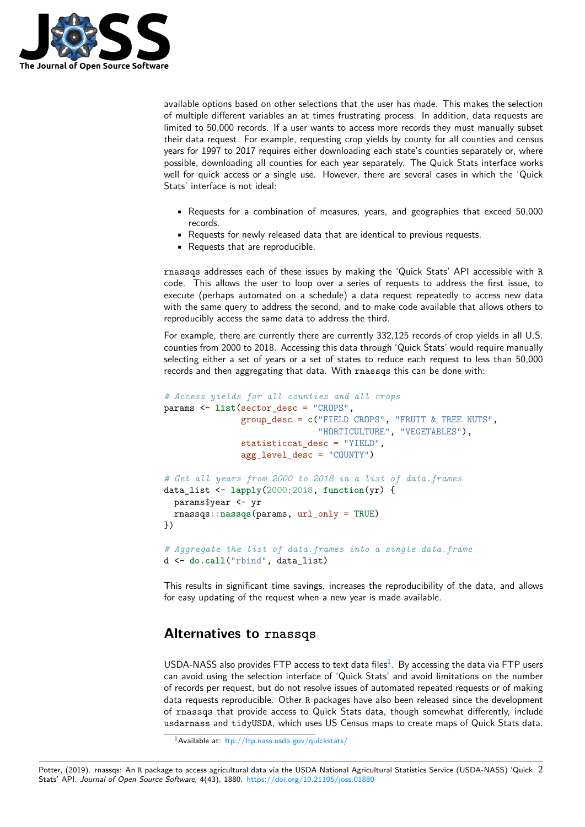

available options based on other selections that the user has made. This makes the selection of multiple different variables an at times frustrating process. In addition, data requests are limited to 50,000 records. If a user wants to access more records they must manually subset their data request. For example, requesting crop yields by county for all counties and census years for 1997 to 2017 requires either downloading each state's counties separately or, where possible, downloading all counties for each year separately. The Quick Stats interface works well for quick access or a single use. However, there are several cases in which the 'Quick Stats' interface is not ideal:

- Requests for a combination of measures, years, and geographies that exceed 50,000 records.
- Requests for newly released data that are identical to previous requests.
- Requests that are reproducible.

rnassqs addresses each of these issues by making the 'Quick Stats' API accessible with R code. This allows the user to loop over a series of requests to address the first issue, to execute (perhaps automated on a schedule) a data request repeatedly to access new data with the same query to address the second, and to make code available that allows others to reproducibly access the same data to address the third.

For example, there are currently there are currently 332,125 records of crop yields in all U.S. counties from 2000 to 2018. Accessing this data through 'Quick Stats' would require manually selecting either a set of years or a set of states to reduce each request to less than 50,000 records and then aggregating that data. With rnassqs this can be done with:

```
# Access yields for all counties and all crops
params <- list(sector_desc = "CROPS",
               group_desc = c("FIELD CROPS", "FRUIT & TREE NUTS",
                              "HORTICULTURE", "VEGETABLES"),
               statisticcat_desc = "YIELD",
               agg_level_desc = "COUNTY")
# Get all years from 2000 to 2018 in a list of data.frames
data_list <- lapply(2000:2018, function(yr) {
  params$year <- yr
 rnassqs::nassqs(params, url_only = TRUE)
})
# Aggregate the list of data.frames into a single data.frame
d <- do.call("rbind", data_list)
```
This results in significant time savings, increases the reproducibility of the data, and allows for easy updating of the request when a new year is made available.

#### **Alternatives to rnassqs**

USDA-NASS also provides FTP access to text data files $<sup>1</sup>$ . By accessing the data via FTP users</sup> can avoid using the selection interface of 'Quick Stats' and avoid limitations on the number of records per request, but do not resolve issues of automated repeated requests or of making data requests reproducible. Other R packages have also been released since the development of rnassqs that provide access to Quick Stats data, [t](#page-1-0)hough somewhat differently, include usdarnass and tidyUSDA, which uses US Census maps to create maps of Quick Stats data.

Potter, (2019). rnassqs: An R package to access agricultural data via the USDA National Agricultural Statistics Service (USDA-NASS) 'Quick 2Stats' API. *Journal of Open Source Software*, 4(43), 1880. https://doi.org/10.21105/joss.01880

<span id="page-1-0"></span><sup>1</sup>Available at: ftp://ftp.nass.usda.gov/quickstats/